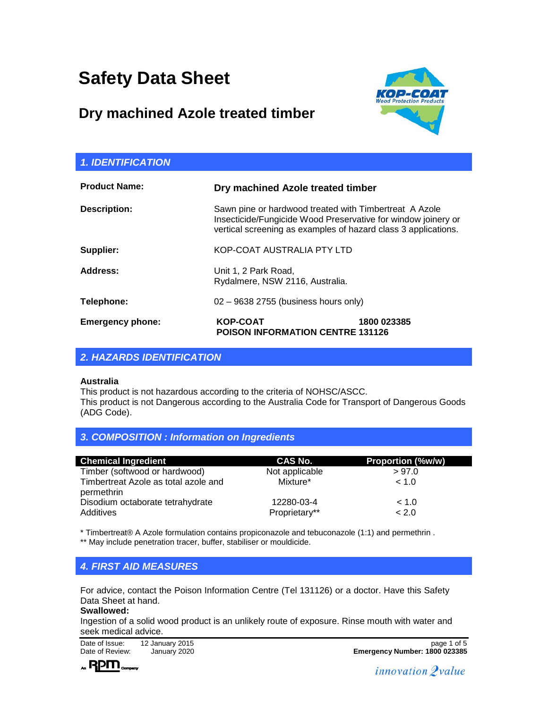# **Safety Data Sheet**

# **Dry machined Azole treated timber**



| <b>1. IDENTIFICATION</b> |                                                                                                                                                                                           |             |
|--------------------------|-------------------------------------------------------------------------------------------------------------------------------------------------------------------------------------------|-------------|
| <b>Product Name:</b>     | Dry machined Azole treated timber                                                                                                                                                         |             |
| Description:             | Sawn pine or hardwood treated with Timbertreat A Azole<br>Insecticide/Fungicide Wood Preservative for window joinery or<br>vertical screening as examples of hazard class 3 applications. |             |
| Supplier:                | KOP-COAT AUSTRALIA PTY LTD                                                                                                                                                                |             |
| Address:                 | Unit 1, 2 Park Road,<br>Rydalmere, NSW 2116, Australia.                                                                                                                                   |             |
| Telephone:               | $02 - 9638$ 2755 (business hours only)                                                                                                                                                    |             |
| <b>Emergency phone:</b>  | <b>KOP-COAT</b><br><b>POISON INFORMATION CENTRE 131126</b>                                                                                                                                | 1800 023385 |

## *2. HAZARDS IDENTIFICATION*

#### **Australia**

This product is not hazardous according to the criteria of NOHSC/ASCC. This product is not Dangerous according to the Australia Code for Transport of Dangerous Goods (ADG Code).

## *3. COMPOSITION : Information on Ingredients*

| <b>Chemical Ingredient</b>                         | CAS No.        | <b>Proportion (%w/w)</b> |
|----------------------------------------------------|----------------|--------------------------|
| Timber (softwood or hardwood)                      | Not applicable | > 97.0                   |
| Timbertreat Azole as total azole and<br>permethrin | Mixture*       | < 1.0                    |
| Disodium octaborate tetrahydrate                   | 12280-03-4     | ~< 1.0                   |
| Additives                                          | Proprietary**  | < 2.0                    |

\* Timbertreat® A Azole formulation contains propiconazole and tebuconazole (1:1) and permethrin . \*\* May include penetration tracer, buffer, stabiliser or mouldicide.

## *4. FIRST AID MEASURES*

For advice, contact the Poison Information Centre (Tel 131126) or a doctor. Have this Safety Data Sheet at hand.

## **Swallowed:**

Ingestion of a solid wood product is an unlikely route of exposure. Rinse mouth with water and seek medical advice.

Date of Issue: 12 January 2015<br>
Date of Review: January 2020<br>
Date of Review: January 2020



Date of Review: January 2020 **Emergency Number: 1800 023385**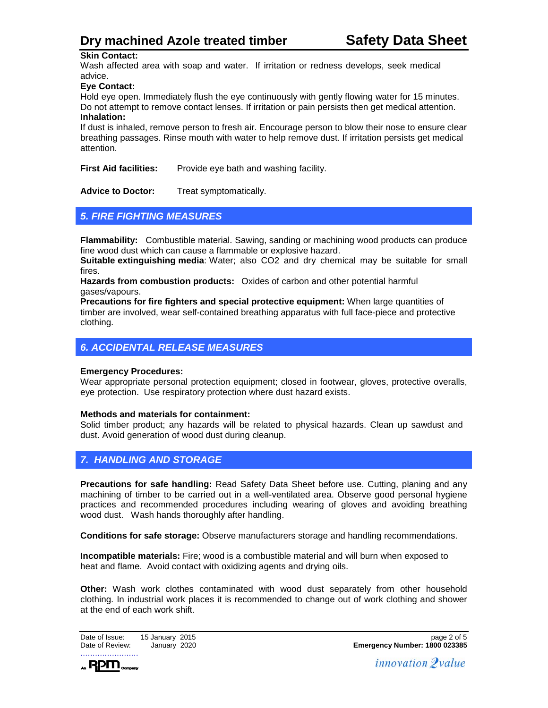#### **Skin Contact:**

Wash affected area with soap and water. If irritation or redness develops, seek medical advice.

#### **Eye Contact:**

Hold eye open. Immediately flush the eye continuously with gently flowing water for 15 minutes. Do not attempt to remove contact lenses. If irritation or pain persists then get medical attention. **Inhalation:**

If dust is inhaled, remove person to fresh air. Encourage person to blow their nose to ensure clear breathing passages. Rinse mouth with water to help remove dust. If irritation persists get medical attention.

**First Aid facilities:** Provide eye bath and washing facility.

**Advice to Doctor:** Treat symptomatically.

## *5. FIRE FIGHTING MEASURES*

**Flammability:** Combustible material. Sawing, sanding or machining wood products can produce fine wood dust which can cause a flammable or explosive hazard.

**Suitable extinguishing media**: Water; also CO2 and dry chemical may be suitable for small fires.

**Hazards from combustion products:** Oxides of carbon and other potential harmful gases/vapours.

**Precautions for fire fighters and special protective equipment:** When large quantities of timber are involved, wear self-contained breathing apparatus with full face-piece and protective clothing.

## *6. ACCIDENTAL RELEASE MEASURES*

#### **Emergency Procedures:**

Wear appropriate personal protection equipment; closed in footwear, gloves, protective overalls, eye protection. Use respiratory protection where dust hazard exists.

#### **Methods and materials for containment:**

Solid timber product; any hazards will be related to physical hazards. Clean up sawdust and dust. Avoid generation of wood dust during cleanup.

## *7. HANDLING AND STORAGE*

**Precautions for safe handling:** Read Safety Data Sheet before use. Cutting, planing and any machining of timber to be carried out in a well-ventilated area. Observe good personal hygiene practices and recommended procedures including wearing of gloves and avoiding breathing wood dust. Wash hands thoroughly after handling.

**Conditions for safe storage:** Observe manufacturers storage and handling recommendations.

**Incompatible materials:** Fire; wood is a combustible material and will burn when exposed to heat and flame. Avoid contact with oxidizing agents and drying oils.

**Other:** Wash work clothes contaminated with wood dust separately from other household clothing. In industrial work places it is recommended to change out of work clothing and shower at the end of each work shift.

……………………

 $_{\star}$  RPM  $_{\tiny{\sf compary}}$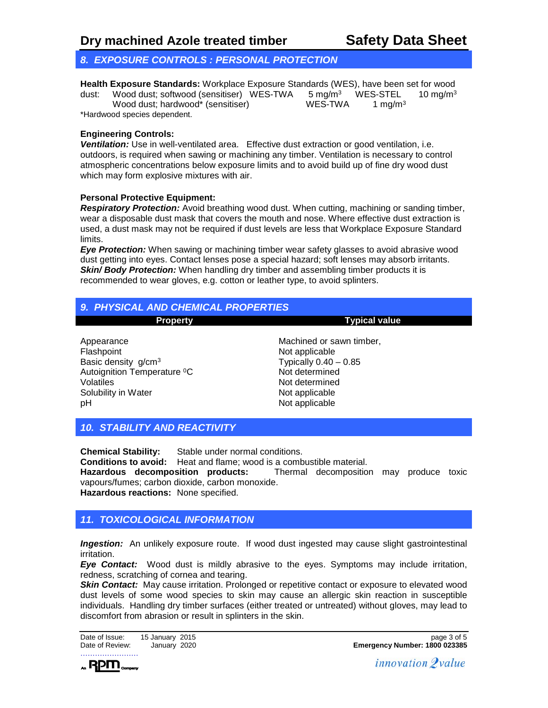## **Dry machined Azole treated timber Safety Data Sheet**

## *8. EXPOSURE CONTROLS : PERSONAL PROTECTION*

**Health Exposure Standards:** Workplace Exposure Standards (WES), have been set for wood

dust: Wood dust; softwood (sensitiser) WES-TWA 5 mg/m<sup>3</sup> WES-STEL 10 mg/m<sup>3</sup><br>Wood dust; hardwood\* (sensitiser) WES-TWA 1 mg/m<sup>3</sup>

Wood dust; hardwood\* (sensitiser) \*Hardwood species dependent.

#### **Engineering Controls:**

*Ventilation:* Use in well-ventilated area. Effective dust extraction or good ventilation, i.e. outdoors, is required when sawing or machining any timber. Ventilation is necessary to control atmospheric concentrations below exposure limits and to avoid build up of fine dry wood dust which may form explosive mixtures with air.

#### **Personal Protective Equipment:**

*Respiratory Protection:* Avoid breathing wood dust. When cutting, machining or sanding timber, wear a disposable dust mask that covers the mouth and nose. Where effective dust extraction is used, a dust mask may not be required if dust levels are less that Workplace Exposure Standard limits.

*Eye Protection:* When sawing or machining timber wear safety glasses to avoid abrasive wood dust getting into eyes. Contact lenses pose a special hazard; soft lenses may absorb irritants. **Skin/ Body Protection:** When handling dry timber and assembling timber products it is recommended to wear gloves, e.g. cotton or leather type, to avoid splinters.

## *9. PHYSICAL AND CHEMICAL PROPERTIES*

**Property Typical value** 

Appearance **Machined or sawn timber,** Flashpoint Not applicable Autoignition Temperature <sup>o</sup>C Not determined Volatiles<br>
Volatiles<br>
Solubility in Water<br>
Not applicable Solubility in Water pH Not applicable

Typically  $0.40 - 0.85$ 

## *10. STABILITY AND REACTIVITY*

**Chemical Stability:** Stable under normal conditions. **Conditions to avoid:** Heat and flame; wood is a combustible material.<br>**Hazardous decomposition products:** Thermal decompositio Thermal decomposition may produce toxic vapours/fumes; carbon dioxide, carbon monoxide. **Hazardous reactions:** None specified.

## *11. TOXICOLOGICAL INFORMATION*

**Ingestion:** An unlikely exposure route. If wood dust ingested may cause slight gastrointestinal irritation.

*Eye Contact:* Wood dust is mildly abrasive to the eyes. Symptoms may include irritation, redness, scratching of cornea and tearing.

**Skin Contact:** May cause irritation. Prolonged or repetitive contact or exposure to elevated wood dust levels of some wood species to skin may cause an allergic skin reaction in susceptible individuals. Handling dry timber surfaces (either treated or untreated) without gloves, may lead to discomfort from abrasion or result in splinters in the skin.

……………………

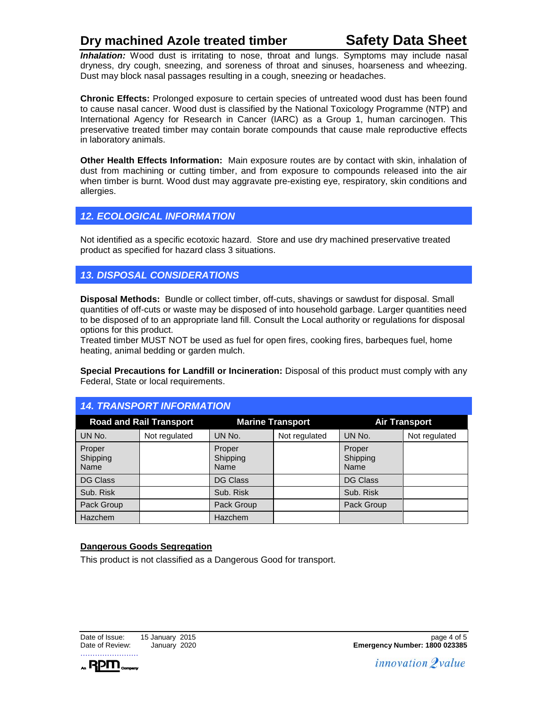# **Dry machined Azole treated timber Safety Data Sheet**

**Inhalation:** Wood dust is irritating to nose, throat and lungs. Symptoms may include nasal dryness, dry cough, sneezing, and soreness of throat and sinuses, hoarseness and wheezing. Dust may block nasal passages resulting in a cough, sneezing or headaches.

**Chronic Effects:** Prolonged exposure to certain species of untreated wood dust has been found to cause nasal cancer. Wood dust is classified by the National Toxicology Programme (NTP) and International Agency for Research in Cancer (IARC) as a Group 1, human carcinogen. This preservative treated timber may contain borate compounds that cause male reproductive effects in laboratory animals.

**Other Health Effects Information:** Main exposure routes are by contact with skin, inhalation of dust from machining or cutting timber, and from exposure to compounds released into the air when timber is burnt. Wood dust may aggravate pre-existing eye, respiratory, skin conditions and allergies.

## *12. ECOLOGICAL INFORMATION*

Not identified as a specific ecotoxic hazard. Store and use dry machined preservative treated product as specified for hazard class 3 situations.

## *13. DISPOSAL CONSIDERATIONS*

**Disposal Methods:** Bundle or collect timber, off-cuts, shavings or sawdust for disposal. Small quantities of off-cuts or waste may be disposed of into household garbage. Larger quantities need to be disposed of to an appropriate land fill. Consult the Local authority or regulations for disposal options for this product.

Treated timber MUST NOT be used as fuel for open fires, cooking fires, barbeques fuel, home heating, animal bedding or garden mulch.

**Special Precautions for Landfill or Incineration:** Disposal of this product must comply with any Federal, State or local requirements.

| <b>14. TRANSPORT INFORMATION</b> |                                |                            |                         |                            |                      |
|----------------------------------|--------------------------------|----------------------------|-------------------------|----------------------------|----------------------|
|                                  | <b>Road and Rail Transport</b> |                            | <b>Marine Transport</b> |                            | <b>Air Transport</b> |
| UN No.                           | Not regulated                  | UN No.                     | Not regulated           | UN No.                     | Not regulated        |
| Proper<br>Shipping<br>Name       |                                | Proper<br>Shipping<br>Name |                         | Proper<br>Shipping<br>Name |                      |
| <b>DG Class</b>                  |                                | <b>DG Class</b>            |                         | <b>DG Class</b>            |                      |
| Sub, Risk                        |                                | Sub. Risk                  |                         | Sub, Risk                  |                      |
| Pack Group                       |                                | Pack Group                 |                         | Pack Group                 |                      |
| <b>Hazchem</b>                   |                                | <b>Hazchem</b>             |                         |                            |                      |

#### **Dangerous Goods Segregation**

This product is not classified as a Dangerous Good for transport.